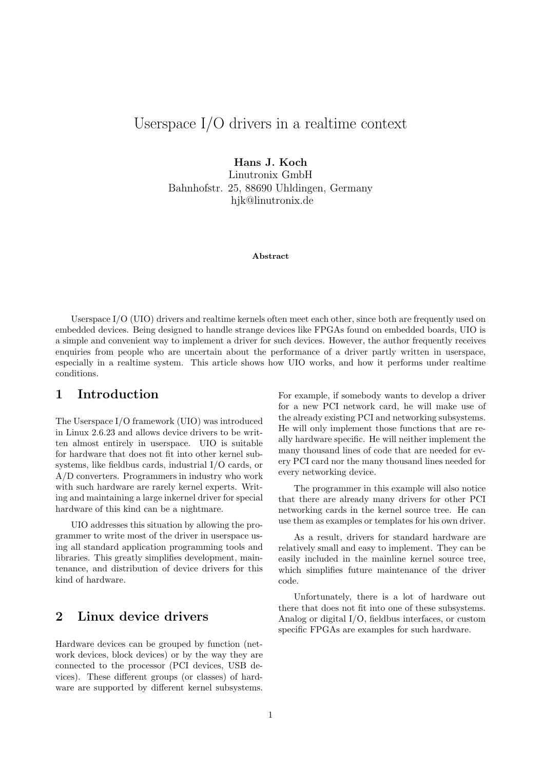# Userspace I/O drivers in a realtime context

Hans J. Koch

Linutronix GmbH Bahnhofstr. 25, 88690 Uhldingen, Germany hjk@linutronix.de

Abstract

Userspace I/O (UIO) drivers and realtime kernels often meet each other, since both are frequently used on embedded devices. Being designed to handle strange devices like FPGAs found on embedded boards, UIO is a simple and convenient way to implement a driver for such devices. However, the author frequently receives enquiries from people who are uncertain about the performance of a driver partly written in userspace, especially in a realtime system. This article shows how UIO works, and how it performs under realtime conditions.

### 1 Introduction

The Userspace I/O framework (UIO) was introduced in Linux 2.6.23 and allows device drivers to be written almost entirely in userspace. UIO is suitable for hardware that does not fit into other kernel subsystems, like fieldbus cards, industrial I/O cards, or A/D converters. Programmers in industry who work with such hardware are rarely kernel experts. Writing and maintaining a large inkernel driver for special hardware of this kind can be a nightmare.

UIO addresses this situation by allowing the programmer to write most of the driver in userspace using all standard application programming tools and libraries. This greatly simplifies development, maintenance, and distribution of device drivers for this kind of hardware.

## 2 Linux device drivers

Hardware devices can be grouped by function (network devices, block devices) or by the way they are connected to the processor (PCI devices, USB devices). These different groups (or classes) of hardware are supported by different kernel subsystems. For example, if somebody wants to develop a driver for a new PCI network card, he will make use of the already existing PCI and networking subsystems. He will only implement those functions that are really hardware specific. He will neither implement the many thousand lines of code that are needed for every PCI card nor the many thousand lines needed for every networking device.

The programmer in this example will also notice that there are already many drivers for other PCI networking cards in the kernel source tree. He can use them as examples or templates for his own driver.

As a result, drivers for standard hardware are relatively small and easy to implement. They can be easily included in the mainline kernel source tree, which simplifies future maintenance of the driver code.

Unfortunately, there is a lot of hardware out there that does not fit into one of these subsystems. Analog or digital I/O, fieldbus interfaces, or custom specific FPGAs are examples for such hardware.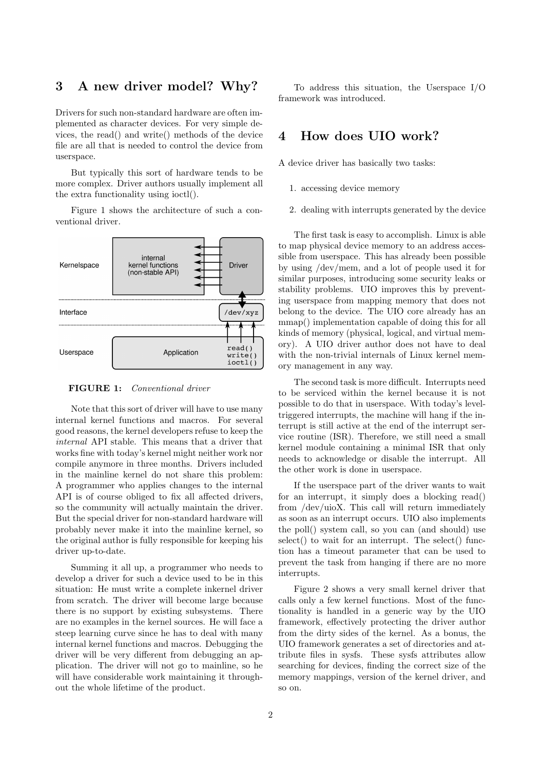### 3 A new driver model? Why?

Drivers for such non-standard hardware are often implemented as character devices. For very simple devices, the read() and write() methods of the device file are all that is needed to control the device from userspace.

But typically this sort of hardware tends to be more complex. Driver authors usually implement all the extra functionality using ioctl().

Figure 1 shows the architecture of such a conventional driver.



FIGURE 1: *Conventional driver*

Note that this sort of driver will have to use many internal kernel functions and macros. For several good reasons, the kernel developers refuse to keep the *internal* API stable. This means that a driver that works fine with today's kernel might neither work nor compile anymore in three months. Drivers included in the mainline kernel do not share this problem: A programmer who applies changes to the internal API is of course obliged to fix all affected drivers, so the community will actually maintain the driver. But the special driver for non-standard hardware will probably never make it into the mainline kernel, so the original author is fully responsible for keeping his driver up-to-date.

Summing it all up, a programmer who needs to develop a driver for such a device used to be in this situation: He must write a complete inkernel driver from scratch. The driver will become large because there is no support by existing subsystems. There are no examples in the kernel sources. He will face a steep learning curve since he has to deal with many internal kernel functions and macros. Debugging the driver will be very different from debugging an application. The driver will not go to mainline, so he will have considerable work maintaining it throughout the whole lifetime of the product.

To address this situation, the Userspace I/O framework was introduced.

### 4 How does UIO work?

A device driver has basically two tasks:

- 1. accessing device memory
- 2. dealing with interrupts generated by the device

The first task is easy to accomplish. Linux is able to map physical device memory to an address accessible from userspace. This has already been possible by using /dev/mem, and a lot of people used it for similar purposes, introducing some security leaks or stability problems. UIO improves this by preventing userspace from mapping memory that does not belong to the device. The UIO core already has an mmap() implementation capable of doing this for all kinds of memory (physical, logical, and virtual memory). A UIO driver author does not have to deal with the non-trivial internals of Linux kernel memory management in any way.

The second task is more difficult. Interrupts need to be serviced within the kernel because it is not possible to do that in userspace. With today's leveltriggered interrupts, the machine will hang if the interrupt is still active at the end of the interrupt service routine (ISR). Therefore, we still need a small kernel module containing a minimal ISR that only needs to acknowledge or disable the interrupt. All the other work is done in userspace.

If the userspace part of the driver wants to wait for an interrupt, it simply does a blocking read() from /dev/uioX. This call will return immediately as soon as an interrupt occurs. UIO also implements the poll() system call, so you can (and should) use select() to wait for an interrupt. The select() function has a timeout parameter that can be used to prevent the task from hanging if there are no more interrupts.

Figure 2 shows a very small kernel driver that calls only a few kernel functions. Most of the functionality is handled in a generic way by the UIO framework, effectively protecting the driver author from the dirty sides of the kernel. As a bonus, the UIO framework generates a set of directories and attribute files in sysfs. These sysfs attributes allow searching for devices, finding the correct size of the memory mappings, version of the kernel driver, and so on.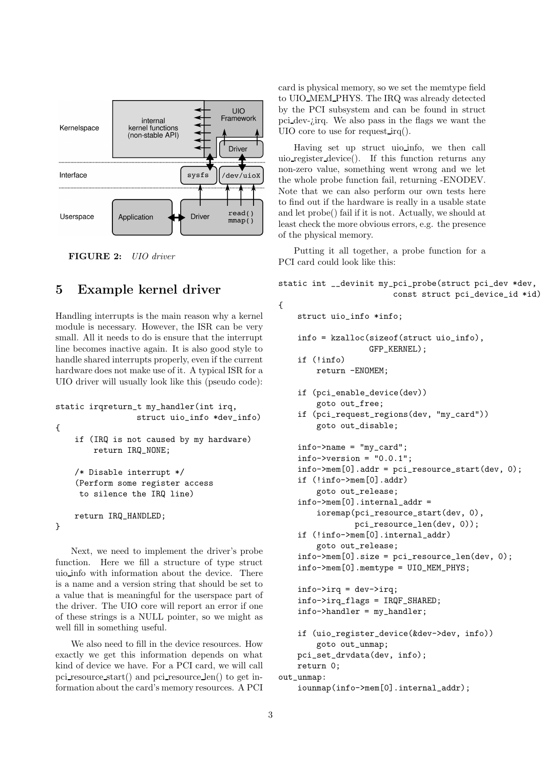

FIGURE 2: *UIO driver*

### 5 Example kernel driver

Handling interrupts is the main reason why a kernel module is necessary. However, the ISR can be very small. All it needs to do is ensure that the interrupt line becomes inactive again. It is also good style to handle shared interrupts properly, even if the current hardware does not make use of it. A typical ISR for a UIO driver will usually look like this (pseudo code):

```
static irqreturn_t my_handler(int irq,
                 struct uio_info *dev_info)
{
    if (IRQ is not caused by my hardware)
        return IRQ_NONE;
    /* Disable interrupt */
    (Perform some register access
     to silence the IRQ line)
    return IRQ_HANDLED;
}
```
Next, we need to implement the driver's probe function. Here we fill a structure of type struct uio info with information about the device. There is a name and a version string that should be set to a value that is meaningful for the userspace part of the driver. The UIO core will report an error if one of these strings is a NULL pointer, so we might as well fill in something useful.

We also need to fill in the device resources. How exactly we get this information depends on what kind of device we have. For a PCI card, we will call pci resource start() and pci resource len() to get information about the card's memory resources. A PCI card is physical memory, so we set the memtype field to UIO MEM PHYS. The IRQ was already detected by the PCI subsystem and can be found in struct pci dev-¿irq. We also pass in the flags we want the UIO core to use for request irq().

Having set up struct uio info, we then call uio register device(). If this function returns any non-zero value, something went wrong and we let the whole probe function fail, returning -ENODEV. Note that we can also perform our own tests here to find out if the hardware is really in a usable state and let probe() fail if it is not. Actually, we should at least check the more obvious errors, e.g. the presence of the physical memory.

Putting it all together, a probe function for a PCI card could look like this:

```
static int __devinit my_pci_probe(struct pci_dev *dev,
                         const struct pci_device_id *id)
{
    struct uio_info *info;
    info = kzalloc(sizeof(struct uio_info),
                   GFP_KERNEL);
    if (!info)
        return -ENOMEM;
    if (pci_enable_device(dev))
        goto out_free;
    if (pci_request_regions(dev, "my_card"))
        goto out_disable;
    info->name = "my_card";
    info\rightarrow version = "0.0.1";info->mem[0].addr = pci_resource_start(dev, 0);
    if (!info->mem[0].addr)
        goto out_release;
    info->mem[0].internal_addr =
        ioremap(pci_resource_start(dev, 0),
                pci_resource_len(dev, 0));
    if (!info->mem[0].internal_addr)
        goto out_release;
    info\rightarrow mem[0].size = pci_resource_len(dev, 0);
    info->mem[0].memtype = UIO_MEM_PHYS;
    info->irq = dev->irq;info->irq_flags = IRQF_SHARED;
    info->handler = my_handler;
    if (uio_register_device(&dev->dev, info))
        goto out_unmap;
    pci_set_drvdata(dev, info);
    return 0;
out unmap:
    iounmap(info->mem[0].internal_addr);
```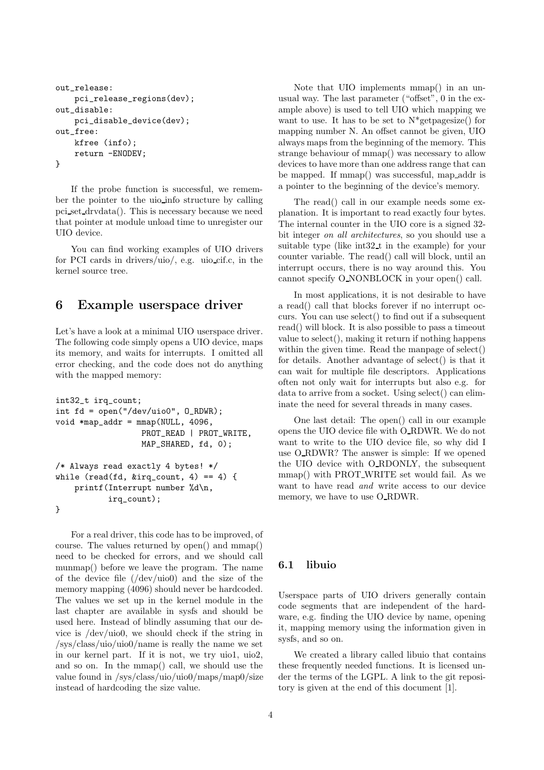```
out_release:
    pci_release_regions(dev);
out_disable:
   pci_disable_device(dev);
out_free:
    kfree (info);
    return -ENODEV;
}
```
If the probe function is successful, we remember the pointer to the uio info structure by calling pci set drvdata(). This is necessary because we need that pointer at module unload time to unregister our UIO device.

You can find working examples of UIO drivers for PCI cards in drivers/uio/, e.g. uio cif.c, in the kernel source tree.

### 6 Example userspace driver

Let's have a look at a minimal UIO userspace driver. The following code simply opens a UIO device, maps its memory, and waits for interrupts. I omitted all error checking, and the code does not do anything with the mapped memory:

```
int32_t irq_count;
int fd = open("/dev/uio0", O_RDWR);
void *map\_addr = \text{mmap}(\text{NULL}, 4096,PROT_READ | PROT_WRITE,
                    MAP_SHARED, fd, 0);
/* Always read exactly 4 bytes! */
while (read(fd, \text{king\_count}, 4) == 4) {
    printf(Interrupt number %d\n,
            irq_count);
}
```
For a real driver, this code has to be improved, of course. The values returned by open() and mmap() need to be checked for errors, and we should call munmap() before we leave the program. The name of the device file (/dev/uio0) and the size of the memory mapping (4096) should never be hardcoded. The values we set up in the kernel module in the last chapter are available in sysfs and should be used here. Instead of blindly assuming that our device is /dev/uio0, we should check if the string in /sys/class/uio/uio0/name is really the name we set in our kernel part. If it is not, we try uio1, uio2, and so on. In the mmap() call, we should use the value found in /sys/class/uio/uio0/maps/map0/size instead of hardcoding the size value.

Note that UIO implements mmap() in an unusual way. The last parameter ("offset", 0 in the example above) is used to tell UIO which mapping we want to use. It has to be set to  $N^*$ getpagesize() for mapping number N. An offset cannot be given, UIO always maps from the beginning of the memory. This strange behaviour of mmap() was necessary to allow devices to have more than one address range that can be mapped. If mmap() was successful, map addr is a pointer to the beginning of the device's memory.

The read() call in our example needs some explanation. It is important to read exactly four bytes. The internal counter in the UIO core is a signed 32 bit integer *on all architectures*, so you should use a suitable type (like int32 t in the example) for your counter variable. The read() call will block, until an interrupt occurs, there is no way around this. You cannot specify O NONBLOCK in your open() call.

In most applications, it is not desirable to have a read() call that blocks forever if no interrupt occurs. You can use select() to find out if a subsequent read() will block. It is also possible to pass a timeout value to select(), making it return if nothing happens within the given time. Read the manpage of select() for details. Another advantage of select() is that it can wait for multiple file descriptors. Applications often not only wait for interrupts but also e.g. for data to arrive from a socket. Using select() can eliminate the need for several threads in many cases.

One last detail: The open() call in our example opens the UIO device file with O RDWR. We do not want to write to the UIO device file, so why did I use O RDWR? The answer is simple: If we opened the UIO device with O RDONLY, the subsequent mmap() with PROT WRITE set would fail. As we want to have read *and* write access to our device memory, we have to use O\_RDWR.

### 6.1 libuio

Userspace parts of UIO drivers generally contain code segments that are independent of the hardware, e.g. finding the UIO device by name, opening it, mapping memory using the information given in sysfs, and so on.

We created a library called libuio that contains these frequently needed functions. It is licensed under the terms of the LGPL. A link to the git repository is given at the end of this document [1].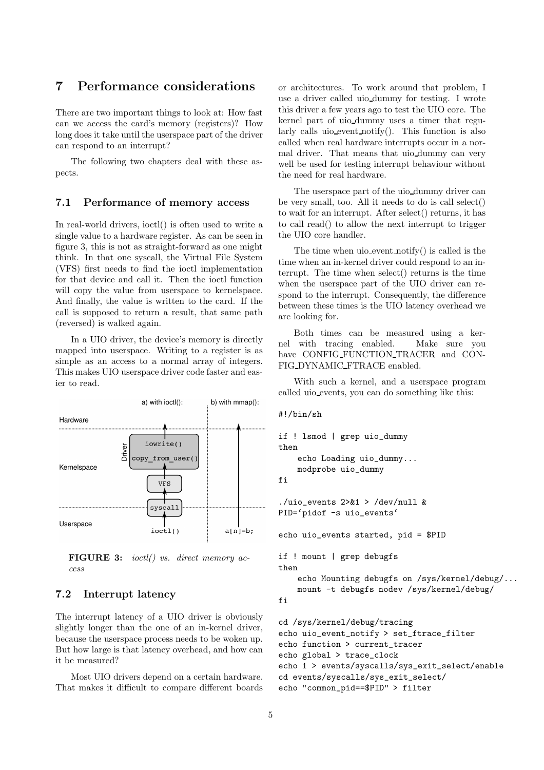### 7 Performance considerations

There are two important things to look at: How fast can we access the card's memory (registers)? How long does it take until the userspace part of the driver can respond to an interrupt?

The following two chapters deal with these aspects.

#### 7.1 Performance of memory access

In real-world drivers, ioctl() is often used to write a single value to a hardware register. As can be seen in figure 3, this is not as straight-forward as one might think. In that one syscall, the Virtual File System (VFS) first needs to find the ioctl implementation for that device and call it. Then the ioctl function will copy the value from userspace to kernelspace. And finally, the value is written to the card. If the call is supposed to return a result, that same path (reversed) is walked again.

In a UIO driver, the device's memory is directly mapped into userspace. Writing to a register is as simple as an access to a normal array of integers. This makes UIO userspace driver code faster and easier to read.



FIGURE 3: *ioctl() vs. direct memory access*

### 7.2 Interrupt latency

The interrupt latency of a UIO driver is obviously slightly longer than the one of an in-kernel driver, because the userspace process needs to be woken up. But how large is that latency overhead, and how can it be measured?

Most UIO drivers depend on a certain hardware. That makes it difficult to compare different boards or architectures. To work around that problem, I use a driver called uio dummy for testing. I wrote this driver a few years ago to test the UIO core. The kernel part of uio dummy uses a timer that regularly calls uio event notify(). This function is also called when real hardware interrupts occur in a normal driver. That means that uio dummy can very well be used for testing interrupt behaviour without the need for real hardware.

The userspace part of the uio dummy driver can be very small, too. All it needs to do is call select() to wait for an interrupt. After select() returns, it has to call read() to allow the next interrupt to trigger the UIO core handler.

The time when uio event notify() is called is the time when an in-kernel driver could respond to an interrupt. The time when select() returns is the time when the userspace part of the UIO driver can respond to the interrupt. Consequently, the difference between these times is the UIO latency overhead we are looking for.

Both times can be measured using a kernel with tracing enabled. Make sure you have CONFIG FUNCTION TRACER and CON-FIG DYNAMIC FTRACE enabled.

With such a kernel, and a userspace program called uio events, you can do something like this:

```
#!/bin/sh
```

```
if ! lsmod | grep uio_dummy
then
    echo Loading uio_dummy...
    modprobe uio_dummy
fi
```

```
./uio_events 2>&1 > /dev/null &
PID='pidof -s uio_events'
```
echo uio\_events started, pid = \$PID

```
if ! mount | grep debugfs
then
```
echo Mounting debugfs on /sys/kernel/debug/... mount -t debugfs nodev /sys/kernel/debug/ fi

```
cd /sys/kernel/debug/tracing
echo uio_event_notify > set_ftrace_filter
echo function > current_tracer
echo global > trace_clock
echo 1 > events/syscalls/sys_exit_select/enable
cd events/syscalls/sys_exit_select/
echo "common_pid==$PID" > filter
```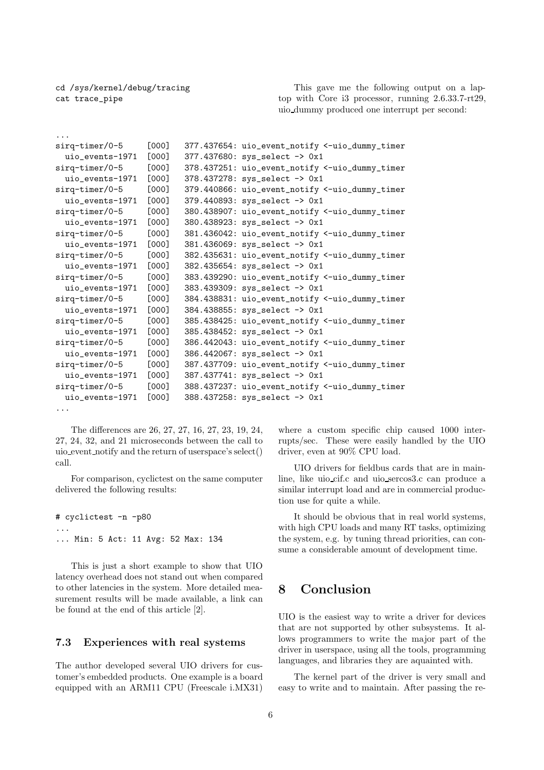cd /sys/kernel/debug/tracing cat trace\_pipe

...

This gave me the following output on a laptop with Core i3 processor, running 2.6.33.7-rt29, uio dummy produced one interrupt per second:

```
sirq-timer/0-5 [000] 377.437654: uio_event_notify <-uio_dummy_timer
 uio_events-1971 [000] 377.437680: sys_select -> 0x1
sirq-timer/0-5 [000] 378.437251: uio_event_notify <-uio_dummy_timer
 uio_events-1971 [000] 378.437278: sys_select -> 0x1
sirq-timer/0-5 [000] 379.440866: uio_event_notify <-uio_dummy_timer
 uio_events-1971 [000] 379.440893: sys_select -> 0x1
sirq-timer/0-5 [000] 380.438907: uio_event_notify <-uio_dummy_timer
 uio_events-1971 [000] 380.438923: sys_select -> 0x1
sirq-timer/0-5 [000] 381.436042: uio_event_notify <-uio_dummy_timer
 uio_events-1971 [000] 381.436069: sys_select -> 0x1
sirq-timer/0-5 [000] 382.435631: uio_event_notify <-uio_dummy_timer
 uio_events-1971 [000] 382.435654: sys_select -> 0x1
sirq-timer/0-5 [000] 383.439290: uio_event_notify <-uio_dummy_timer
 uio_events-1971 [000] 383.439309: sys_select -> 0x1
sirq-timer/0-5 [000] 384.438831: uio_event_notify <-uio_dummy_timer
 uio_events-1971 [000] 384.438855: sys_select -> 0x1
sirq-timer/0-5 [000] 385.438425: uio_event_notify <-uio_dummy_timer
 uio_events-1971 [000] 385.438452: sys_select -> 0x1
sirq-timer/0-5 [000] 386.442043: uio_event_notify <-uio_dummy_timer
 uio_events-1971 [000] 386.442067: sys_select -> 0x1
sirq-timer/0-5 [000] 387.437709: uio_event_notify <-uio_dummy_timer
 uio_events-1971 [000] 387.437741: sys_select -> 0x1
sirq-timer/0-5 [000] 388.437237: uio_event_notify <-uio_dummy_timer
 uio_events-1971 [000] 388.437258: sys_select -> 0x1
...
```
The differences are 26, 27, 27, 16, 27, 23, 19, 24, 27, 24, 32, and 21 microseconds between the call to uio event notify and the return of userspace's select() call.

For comparison, cyclictest on the same computer delivered the following results:

```
# cyclictest -n -p80
...
... Min: 5 Act: 11 Avg: 52 Max: 134
```
This is just a short example to show that UIO latency overhead does not stand out when compared to other latencies in the system. More detailed measurement results will be made available, a link can be found at the end of this article [2].

#### 7.3 Experiences with real systems

The author developed several UIO drivers for customer's embedded products. One example is a board equipped with an ARM11 CPU (Freescale i.MX31) where a custom specific chip caused 1000 interrupts/sec. These were easily handled by the UIO driver, even at 90% CPU load.

UIO drivers for fieldbus cards that are in mainline, like uio cif.c and uio sercos3.c can produce a similar interrupt load and are in commercial production use for quite a while.

It should be obvious that in real world systems, with high CPU loads and many RT tasks, optimizing the system, e.g. by tuning thread priorities, can consume a considerable amount of development time.

### 8 Conclusion

UIO is the easiest way to write a driver for devices that are not supported by other subsystems. It allows programmers to write the major part of the driver in userspace, using all the tools, programming languages, and libraries they are aquainted with.

The kernel part of the driver is very small and easy to write and to maintain. After passing the re